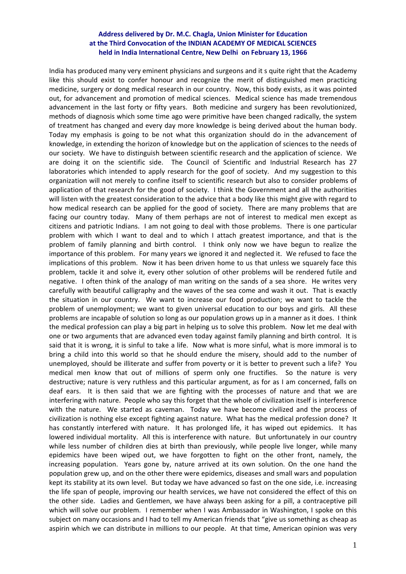## **Address delivered by Dr. M.C. Chagla, Union Minister for Education at the Third Convocation of the INDIAN ACADEMY OF MEDICAL SCIENCES held in India International Centre, New Delhi on February 13, 1966**

India has produced many very eminent physicians and surgeons and it s quite right that the Academy like this should exist to confer honour and recognize the merit of distinguished men practicing medicine, surgery or dong medical research in our country. Now, this body exists, as it was pointed out, for advancement and promotion of medical sciences. Medical science has made tremendous advancement in the last forty or fifty years. Both medicine and surgery has been revolutionized, methods of diagnosis which some time ago were primitive have been changed radically, the system of treatment has changed and every day more knowledge is being derived about the human body. Today my emphasis is going to be not what this organization should do in the advancement of knowledge, in extending the horizon of knowledge but on the application of sciences to the needs of our society. We have to distinguish between scientific research and the application of science. We are doing it on the scientific side. The Council of Scientific and Industrial Research has 27 laboratories which intended to apply research for the goof of society. And my suggestion to this organization will not merely to confine itself to scientific research but also to consider problems of application of that research for the good of society. I think the Government and all the authorities will listen with the greatest consideration to the advice that a body like this might give with regard to how medical research can be applied for the good of society. There are many problems that are facing our country today. Many of them perhaps are not of interest to medical men except as citizens and patriotic Indians. I am not going to deal with those problems. There is one particular problem with which I want to deal and to which I attach greatest importance, and that is the problem of family planning and birth control. I think only now we have begun to realize the importance of this problem. For many years we ignored it and neglected it. We refused to face the implications of this problem. Now it has been driven home to us that unless we squarely face this problem, tackle it and solve it, every other solution of other problems will be rendered futile and negative. I often think of the analogy of man writing on the sands of a sea shore. He writes very carefully with beautiful calligraphy and the waves of the sea come and wash it out. That is exactly the situation in our country. We want to increase our food production; we want to tackle the problem of unemployment; we want to given universal education to our boys and girls. All these problems are incapable of solution so long as our population grows up in a manner as it does. I think the medical profession can play a big part in helping us to solve this problem. Now let me deal with one or two arguments that are advanced even today against family planning and birth control. It is said that it is wrong, it is sinful to take a life. Now what is more sinful, what is more immoral is to bring a child into this world so that he should endure the misery, should add to the number of unemployed, should be illiterate and suffer from poverty or it is better to prevent such a life? You medical men know that out of millions of sperm only one fructifies. So the nature is very destructive; nature is very ruthless and this particular argument, as for as I am concerned, falls on deaf ears. It is then said that we are fighting with the processes of nature and that we are interfering with nature. People who say this forget that the whole of civilization itself is interference with the nature. We started as caveman. Today we have become civilized and the process of civilization is nothing else except fighting against nature. What has the medical profession done? It has constantly interfered with nature. It has prolonged life, it has wiped out epidemics. It has lowered individual mortality. All this is interference with nature. But unfortunately in our country while less number of children dies at birth than previously, while people live longer, while many epidemics have been wiped out, we have forgotten to fight on the other front, namely, the increasing population. Years gone by, nature arrived at its own solution. On the one hand the population grew up, and on the other there were epidemics, diseases and small wars and population kept its stability at its own level. But today we have advanced so fast on the one side, i.e. increasing the life span of people, improving our health services, we have not considered the effect of this on the other side. Ladies and Gentlemen, we have always been asking for a pill, a contraceptive pill which will solve our problem. I remember when I was Ambassador in Washington, I spoke on this subject on many occasions and I had to tell my American friends that "give us something as cheap as aspirin which we can distribute in millions to our people. At that time, American opinion was very